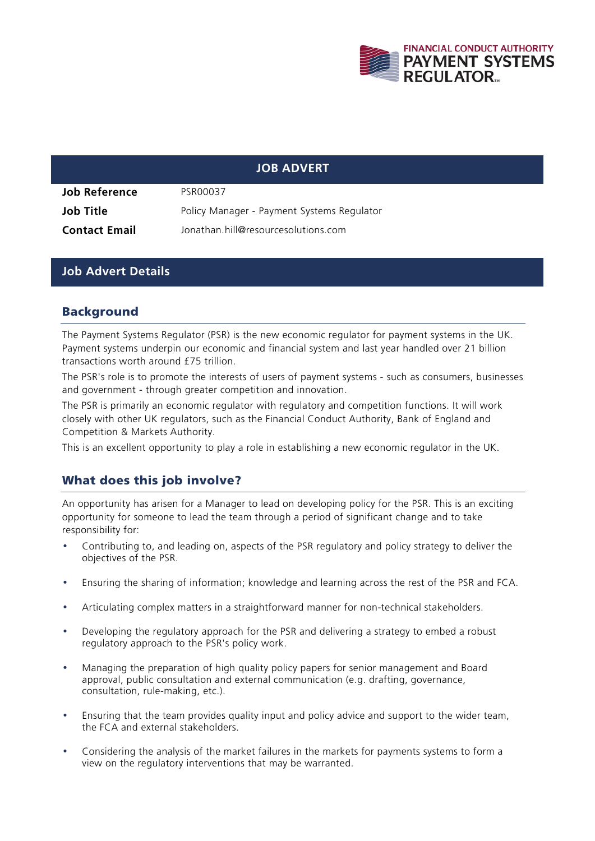

## **JOB ADVERT**

**Job Reference** PSR00037

**Job Title Policy Manager - Payment Systems Regulator Contact Email** Jonathan.hill@resourcesolutions.com

#### **Job Advert Details**

### Background

The Payment Systems Regulator (PSR) is the new economic regulator for payment systems in the UK. Payment systems underpin our economic and financial system and last year handled over 21 billion transactions worth around £75 trillion.

The PSR's role is to promote the interests of users of payment systems - such as consumers, businesses and government - through greater competition and innovation.

The PSR is primarily an economic regulator with regulatory and competition functions. It will work closely with other UK regulators, such as the Financial Conduct Authority, Bank of England and Competition & Markets Authority.

This is an excellent opportunity to play a role in establishing a new economic regulator in the UK.

### What does this job involve?

An opportunity has arisen for a Manager to lead on developing policy for the PSR. This is an exciting opportunity for someone to lead the team through a period of significant change and to take responsibility for:

- Contributing to, and leading on, aspects of the PSR regulatory and policy strategy to deliver the objectives of the PSR.
- Ensuring the sharing of information; knowledge and learning across the rest of the PSR and FCA.
- Articulating complex matters in a straightforward manner for non-technical stakeholders.
- Developing the regulatory approach for the PSR and delivering a strategy to embed a robust regulatory approach to the PSR's policy work.
- Managing the preparation of high quality policy papers for senior management and Board approval, public consultation and external communication (e.g. drafting, governance, consultation, rule-making, etc.).
- Ensuring that the team provides quality input and policy advice and support to the wider team, the FCA and external stakeholders.
- Considering the analysis of the market failures in the markets for payments systems to form a view on the regulatory interventions that may be warranted.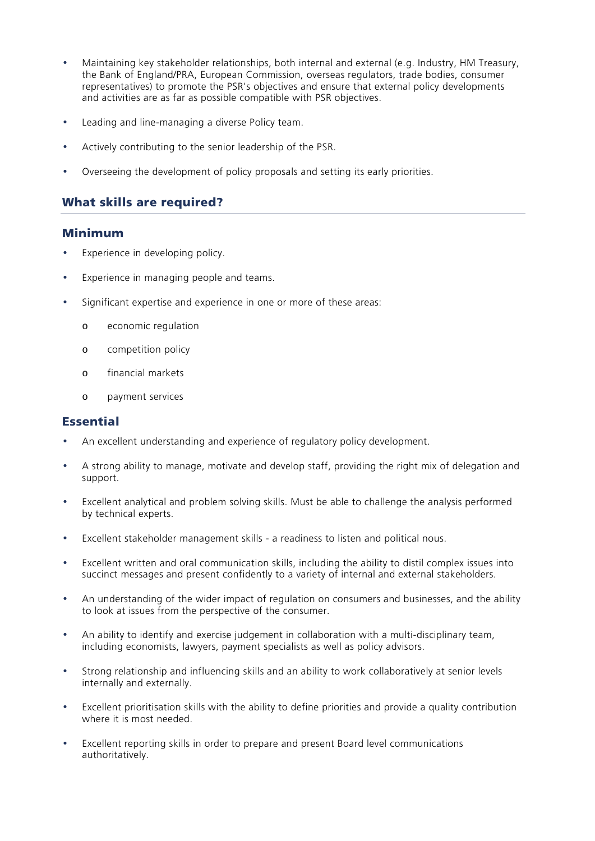- Maintaining key stakeholder relationships, both internal and external (e.g. Industry, HM Treasury, the Bank of England/PRA, European Commission, overseas regulators, trade bodies, consumer representatives) to promote the PSR's objectives and ensure that external policy developments and activities are as far as possible compatible with PSR objectives.
- Leading and line-managing a diverse Policy team.
- Actively contributing to the senior leadership of the PSR.
- Overseeing the development of policy proposals and setting its early priorities.

# What skills are required?

#### Minimum

- Experience in developing policy.
- Experience in managing people and teams.
- Significant expertise and experience in one or more of these areas:
	- o economic regulation
	- o competition policy
	- o financial markets
	- o payment services

### **Essential**

- An excellent understanding and experience of regulatory policy development.
- A strong ability to manage, motivate and develop staff, providing the right mix of delegation and support.
- Excellent analytical and problem solving skills. Must be able to challenge the analysis performed by technical experts.
- Excellent stakeholder management skills a readiness to listen and political nous.
- Excellent written and oral communication skills, including the ability to distil complex issues into succinct messages and present confidently to a variety of internal and external stakeholders.
- An understanding of the wider impact of regulation on consumers and businesses, and the ability to look at issues from the perspective of the consumer.
- An ability to identify and exercise judgement in collaboration with a multi-disciplinary team, including economists, lawyers, payment specialists as well as policy advisors.
- Strong relationship and influencing skills and an ability to work collaboratively at senior levels internally and externally.
- Excellent prioritisation skills with the ability to define priorities and provide a quality contribution where it is most needed.
- Excellent reporting skills in order to prepare and present Board level communications authoritatively.